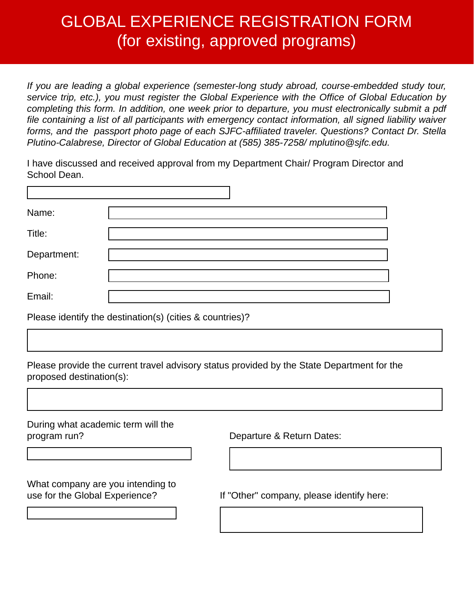## GLOBAL EXPERIENCE REGISTRATION FORM (for existing, approved programs)

*If you are leading a global experience (semester-long study abroad, course-embedded study tour, service trip, etc.), you must register the Global Experience with the Office of Global Education by completing this form. In addition, one week prior to departure, you must electronically submit a pdf file containing a list of all participants with emergency contact information, all signed liability waiver forms, and the passport photo page of each SJFC-affiliated traveler. Questions? Contact Dr. Stella Plutino-Calabrese, Director of Global Education at (585) 385-7258/ mplutino@sjfc.edu.* 

I have discussed and received approval from my Department Chair/ Program Director and School Dean.

| Name:       |  |
|-------------|--|
| Title:      |  |
| Department: |  |
| Phone:      |  |
| Email:      |  |

Please identify the destination(s) (cities & countries)?

Please provide the current travel advisory status provided by the State Department for the proposed destination(s):

| During what academic term will the<br>program run?                  | Departure & Return Dates:                 |
|---------------------------------------------------------------------|-------------------------------------------|
|                                                                     |                                           |
| What company are you intending to<br>use for the Global Experience? | If "Other" company, please identify here: |
|                                                                     |                                           |